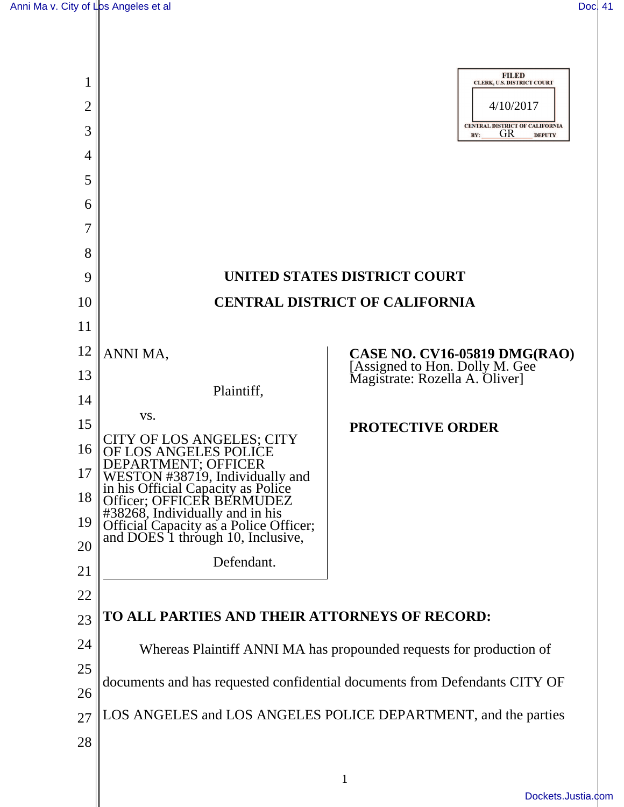$\mathsf{I}$ 

|    |                                                                                                                           | <b>FILED</b><br><b>CLERK, U.S. DISTRICT COURT</b>                                                    |
|----|---------------------------------------------------------------------------------------------------------------------------|------------------------------------------------------------------------------------------------------|
| 2  |                                                                                                                           | 4/10/2017                                                                                            |
| 3  |                                                                                                                           | <b>CENTRAL DISTRICT OF CALIFORNIA</b><br>GR<br><b>DEPUTY</b><br>BY:                                  |
| 4  |                                                                                                                           |                                                                                                      |
| 5  |                                                                                                                           |                                                                                                      |
| 6  |                                                                                                                           |                                                                                                      |
|    |                                                                                                                           |                                                                                                      |
| 8  |                                                                                                                           |                                                                                                      |
| 9  |                                                                                                                           | UNITED STATES DISTRICT COURT                                                                         |
| 10 |                                                                                                                           | <b>CENTRAL DISTRICT OF CALIFORNIA</b>                                                                |
| 11 |                                                                                                                           |                                                                                                      |
| 12 | ANNI MA,                                                                                                                  | <b>CASE NO. CV16-05819 DMG(RAO)</b><br>[Assigned to Hon. Dolly M. Gee Magistrate: Rozella A. Oliver] |
| 13 | Plaintiff,                                                                                                                |                                                                                                      |
| 14 | VS.                                                                                                                       |                                                                                                      |
| 15 | CITY OF LOS ANGELES; CITY                                                                                                 | <b>PROTECTIVE ORDER</b>                                                                              |
| 16 | LOS ANGELES POLICE                                                                                                        |                                                                                                      |
| 17 | DEPARTMENT; OFFICER<br>WESTON #38719, Individually and<br>in his Official Capacity as Police<br>Officer; OFFICER BERMUDEZ |                                                                                                      |
| 18 |                                                                                                                           |                                                                                                      |
| 19 | #38268, Individually and in his<br>Official Capacity as a Police Officer;<br>and DOES 1 through 10, Inclusive,            |                                                                                                      |
| 20 | Defendant.                                                                                                                |                                                                                                      |
| 21 |                                                                                                                           |                                                                                                      |
| 22 |                                                                                                                           |                                                                                                      |
| 23 | TO ALL PARTIES AND THEIR ATTORNEYS OF RECORD:                                                                             |                                                                                                      |
| 24 |                                                                                                                           | Whereas Plaintiff ANNI MA has propounded requests for production of                                  |
| 25 |                                                                                                                           | documents and has requested confidential documents from Defendants CITY OF                           |
| 26 | LOS ANGELES and LOS ANGELES POLICE DEPARTMENT, and the parties                                                            |                                                                                                      |
| 27 |                                                                                                                           |                                                                                                      |
| 28 |                                                                                                                           |                                                                                                      |
|    |                                                                                                                           |                                                                                                      |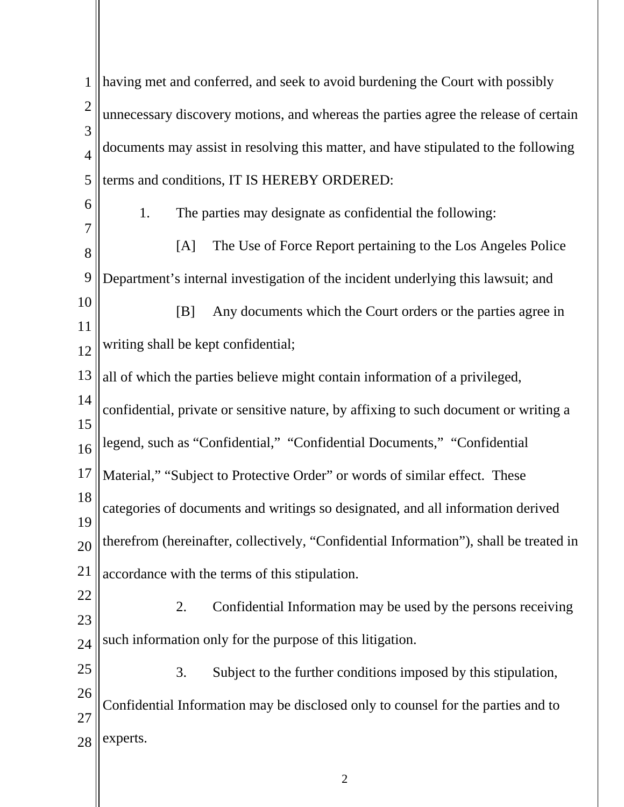| $\mathbf{1}$        | having met and conferred, and seek to avoid burdening the Court with possibly          |  |
|---------------------|----------------------------------------------------------------------------------------|--|
| $\overline{c}$      | unnecessary discovery motions, and whereas the parties agree the release of certain    |  |
| 3<br>$\overline{4}$ | documents may assist in resolving this matter, and have stipulated to the following    |  |
| 5                   | terms and conditions, IT IS HEREBY ORDERED:                                            |  |
| 6                   | 1.<br>The parties may designate as confidential the following:                         |  |
| 7<br>8              | The Use of Force Report pertaining to the Los Angeles Police<br>[A]                    |  |
| 9                   | Department's internal investigation of the incident underlying this lawsuit; and       |  |
| 10                  | Any documents which the Court orders or the parties agree in<br>[B]                    |  |
| 11                  |                                                                                        |  |
| 12                  | writing shall be kept confidential;                                                    |  |
| 13<br>14            | all of which the parties believe might contain information of a privileged,            |  |
| 15                  | confidential, private or sensitive nature, by affixing to such document or writing a   |  |
| 16                  | legend, such as "Confidential," "Confidential Documents," "Confidential                |  |
| 17                  | Material," "Subject to Protective Order" or words of similar effect. These             |  |
| 18                  | categories of documents and writings so designated, and all information derived        |  |
| 19<br>20            | therefrom (hereinafter, collectively, "Confidential Information"), shall be treated in |  |
| 21                  | accordance with the terms of this stipulation.                                         |  |
| 22                  | Confidential Information may be used by the persons receiving<br>2.                    |  |
| 23                  | such information only for the purpose of this litigation.                              |  |
| 24                  |                                                                                        |  |
| 25<br>26            | Subject to the further conditions imposed by this stipulation,<br>3.                   |  |
| 27                  | Confidential Information may be disclosed only to counsel for the parties and to       |  |
| 28                  | experts.                                                                               |  |
|                     |                                                                                        |  |

2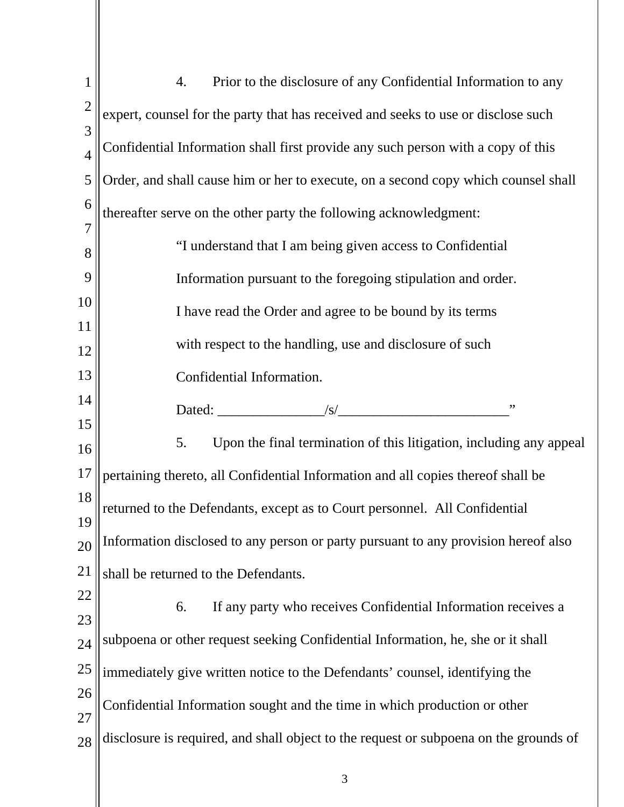| 1                   | Prior to the disclosure of any Confidential Information to any<br>4.                  |  |
|---------------------|---------------------------------------------------------------------------------------|--|
| $\overline{c}$      | expert, counsel for the party that has received and seeks to use or disclose such     |  |
| 3<br>$\overline{4}$ | Confidential Information shall first provide any such person with a copy of this      |  |
| 5                   | Order, and shall cause him or her to execute, on a second copy which counsel shall    |  |
| 6                   | thereafter serve on the other party the following acknowledgment:                     |  |
| 7                   | "I understand that I am being given access to Confidential                            |  |
| 8<br>9              | Information pursuant to the foregoing stipulation and order.                          |  |
| 10                  | I have read the Order and agree to be bound by its terms                              |  |
| 11                  |                                                                                       |  |
| 12                  | with respect to the handling, use and disclosure of such                              |  |
| 13                  | Confidential Information.                                                             |  |
| 14                  | Dated: $\frac{1}{s}$<br>,,                                                            |  |
| 15<br>16            | 5.<br>Upon the final termination of this litigation, including any appeal             |  |
| 17                  | pertaining thereto, all Confidential Information and all copies thereof shall be      |  |
| 18                  | returned to the Defendants, except as to Court personnel. All Confidential            |  |
| 19<br>20            | Information disclosed to any person or party pursuant to any provision hereof also    |  |
| 21                  | shall be returned to the Defendants.                                                  |  |
| 22                  | If any party who receives Confidential Information receives a<br>6.                   |  |
| 23<br>24            | subpoena or other request seeking Confidential Information, he, she or it shall       |  |
| 25                  | immediately give written notice to the Defendants' counsel, identifying the           |  |
| 26                  |                                                                                       |  |
| 27                  | Confidential Information sought and the time in which production or other             |  |
| 28                  | disclosure is required, and shall object to the request or subpoena on the grounds of |  |
|                     |                                                                                       |  |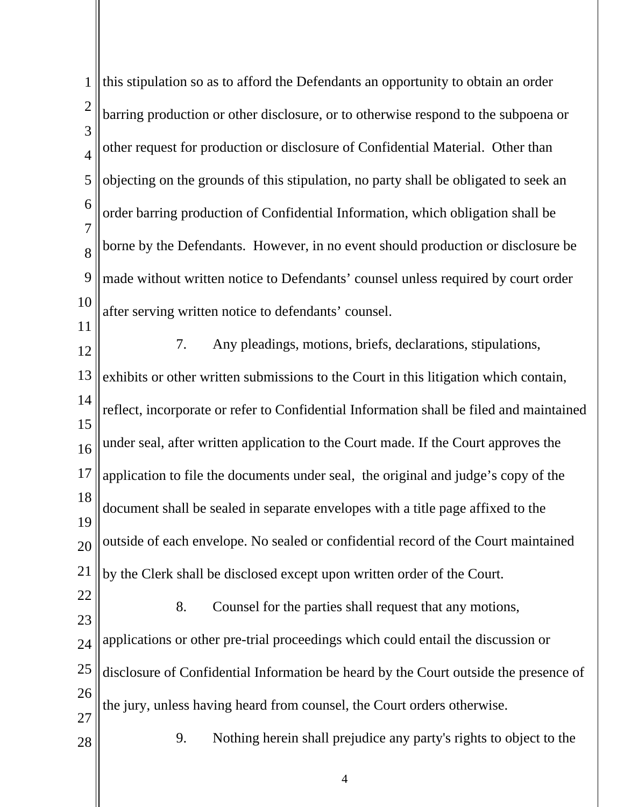| 1                   | this stipulation so as to afford the Defendants an opportunity to obtain an order       |  |
|---------------------|-----------------------------------------------------------------------------------------|--|
| $\overline{2}$      | barring production or other disclosure, or to otherwise respond to the subpoena or      |  |
| 3<br>$\overline{4}$ | other request for production or disclosure of Confidential Material. Other than         |  |
| 5                   | objecting on the grounds of this stipulation, no party shall be obligated to seek an    |  |
| 6                   | order barring production of Confidential Information, which obligation shall be         |  |
| $\overline{7}$<br>8 | borne by the Defendants. However, in no event should production or disclosure be        |  |
| 9                   | made without written notice to Defendants' counsel unless required by court order       |  |
| 10                  | after serving written notice to defendants' counsel.                                    |  |
| 11<br>12            | 7.<br>Any pleadings, motions, briefs, declarations, stipulations,                       |  |
| 13                  | exhibits or other written submissions to the Court in this litigation which contain,    |  |
| 14                  | reflect, incorporate or refer to Confidential Information shall be filed and maintained |  |
| 15<br>16            | under seal, after written application to the Court made. If the Court approves the      |  |
| 17                  | application to file the documents under seal, the original and judge's copy of the      |  |
| 18                  | document shall be sealed in separate envelopes with a title page affixed to the         |  |
| 19<br>20            | outside of each envelope. No sealed or confidential record of the Court maintained      |  |
| 21                  | by the Clerk shall be disclosed except upon written order of the Court.                 |  |
| 22                  | 8.<br>Counsel for the parties shall request that any motions,                           |  |
| 23<br>24            | applications or other pre-trial proceedings which could entail the discussion or        |  |
| 25                  | disclosure of Confidential Information be heard by the Court outside the presence of    |  |
| 26                  | the jury, unless having heard from counsel, the Court orders otherwise.                 |  |
| 27<br>28            | Nothing herein shall prejudice any party's rights to object to the<br>9.                |  |
|                     |                                                                                         |  |

4